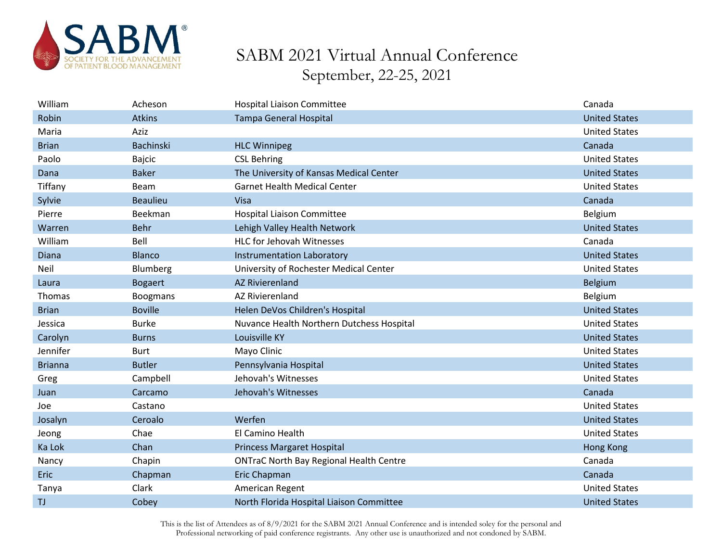

| William        | Acheson          | <b>Hospital Liaison Committee</b>              | Canada               |
|----------------|------------------|------------------------------------------------|----------------------|
| Robin          | <b>Atkins</b>    | <b>Tampa General Hospital</b>                  | <b>United States</b> |
| Maria          | Aziz             |                                                | <b>United States</b> |
| <b>Brian</b>   | <b>Bachinski</b> | <b>HLC Winnipeg</b>                            | Canada               |
| Paolo          | <b>Bajcic</b>    | <b>CSL Behring</b>                             | <b>United States</b> |
| Dana           | <b>Baker</b>     | The University of Kansas Medical Center        | <b>United States</b> |
| Tiffany        | Beam             | <b>Garnet Health Medical Center</b>            | <b>United States</b> |
| Sylvie         | <b>Beaulieu</b>  | Visa                                           | Canada               |
| Pierre         | Beekman          | <b>Hospital Liaison Committee</b>              | Belgium              |
| Warren         | <b>Behr</b>      | Lehigh Valley Health Network                   | <b>United States</b> |
| William        | Bell             | <b>HLC for Jehovah Witnesses</b>               | Canada               |
| Diana          | <b>Blanco</b>    | <b>Instrumentation Laboratory</b>              | <b>United States</b> |
| Neil           | Blumberg         | University of Rochester Medical Center         | <b>United States</b> |
| Laura          | <b>Bogaert</b>   | <b>AZ Rivierenland</b>                         | <b>Belgium</b>       |
| Thomas         | <b>Boogmans</b>  | <b>AZ Rivierenland</b>                         | Belgium              |
| <b>Brian</b>   | <b>Boville</b>   | Helen DeVos Children's Hospital                | <b>United States</b> |
| Jessica        | <b>Burke</b>     | Nuvance Health Northern Dutchess Hospital      | <b>United States</b> |
| Carolyn        | <b>Burns</b>     | Louisville KY                                  | <b>United States</b> |
| Jennifer       | <b>Burt</b>      | Mayo Clinic                                    | <b>United States</b> |
| <b>Brianna</b> | <b>Butler</b>    | Pennsylvania Hospital                          | <b>United States</b> |
| Greg           | Campbell         | Jehovah's Witnesses                            | <b>United States</b> |
| Juan           | Carcamo          | Jehovah's Witnesses                            | Canada               |
| Joe            | Castano          |                                                | <b>United States</b> |
| Josalyn        | Ceroalo          | Werfen                                         | <b>United States</b> |
| Jeong          | Chae             | El Camino Health                               | <b>United States</b> |
| Ka Lok         | Chan             | <b>Princess Margaret Hospital</b>              | <b>Hong Kong</b>     |
| Nancy          | Chapin           | <b>ONTraC North Bay Regional Health Centre</b> | Canada               |
| Eric           | Chapman          | Eric Chapman                                   | Canada               |
| Tanya          | Clark            | American Regent                                | <b>United States</b> |
| <b>TJ</b>      | Cobey            | North Florida Hospital Liaison Committee       | <b>United States</b> |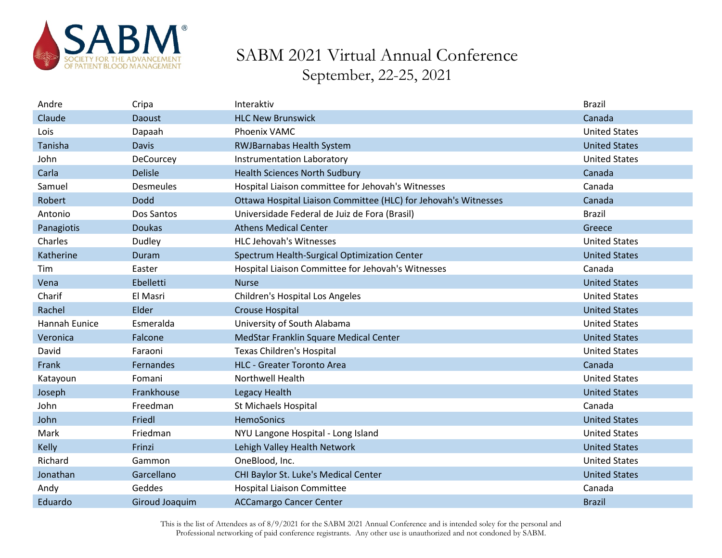

| Andre         | Cripa            | Interaktiv                                                      | <b>Brazil</b>        |
|---------------|------------------|-----------------------------------------------------------------|----------------------|
| Claude        | <b>Daoust</b>    | <b>HLC New Brunswick</b>                                        | Canada               |
| Lois          | Dapaah           | Phoenix VAMC                                                    | <b>United States</b> |
| Tanisha       | <b>Davis</b>     | <b>RWJBarnabas Health System</b>                                | <b>United States</b> |
| John          | DeCourcey        | Instrumentation Laboratory                                      | <b>United States</b> |
| Carla         | <b>Delisle</b>   | <b>Health Sciences North Sudbury</b>                            | Canada               |
| Samuel        | <b>Desmeules</b> | Hospital Liaison committee for Jehovah's Witnesses              | Canada               |
| Robert        | <b>Dodd</b>      | Ottawa Hospital Liaison Committee (HLC) for Jehovah's Witnesses | Canada               |
| Antonio       | Dos Santos       | Universidade Federal de Juiz de Fora (Brasil)                   | <b>Brazil</b>        |
| Panagiotis    | <b>Doukas</b>    | <b>Athens Medical Center</b>                                    | Greece               |
| Charles       | Dudley           | <b>HLC Jehovah's Witnesses</b>                                  | <b>United States</b> |
| Katherine     | Duram            | Spectrum Health-Surgical Optimization Center                    | <b>United States</b> |
| Tim           | Easter           | Hospital Liaison Committee for Jehovah's Witnesses              | Canada               |
| Vena          | Ebelletti        | <b>Nurse</b>                                                    | <b>United States</b> |
| Charif        | El Masri         | <b>Children's Hospital Los Angeles</b>                          | <b>United States</b> |
| Rachel        | Elder            | <b>Crouse Hospital</b>                                          | <b>United States</b> |
| Hannah Eunice | Esmeralda        | University of South Alabama                                     | <b>United States</b> |
| Veronica      | Falcone          | MedStar Franklin Square Medical Center                          | <b>United States</b> |
| David         | Faraoni          | <b>Texas Children's Hospital</b>                                | <b>United States</b> |
| Frank         | Fernandes        | <b>HLC - Greater Toronto Area</b>                               | Canada               |
| Katayoun      | Fomani           | <b>Northwell Health</b>                                         | <b>United States</b> |
| Joseph        | Frankhouse       | Legacy Health                                                   | <b>United States</b> |
| John          | Freedman         | St Michaels Hospital                                            | Canada               |
| John          | Friedl           | <b>HemoSonics</b>                                               | <b>United States</b> |
| Mark          | Friedman         | NYU Langone Hospital - Long Island                              | <b>United States</b> |
| Kelly         | Frinzi           | Lehigh Valley Health Network                                    | <b>United States</b> |
| Richard       | Gammon           | OneBlood, Inc.                                                  | <b>United States</b> |
| Jonathan      | Garcellano       | CHI Baylor St. Luke's Medical Center                            | <b>United States</b> |
| Andy          | Geddes           | <b>Hospital Liaison Committee</b>                               | Canada               |
| Eduardo       | Giroud Joaquim   | <b>ACCamargo Cancer Center</b>                                  | <b>Brazil</b>        |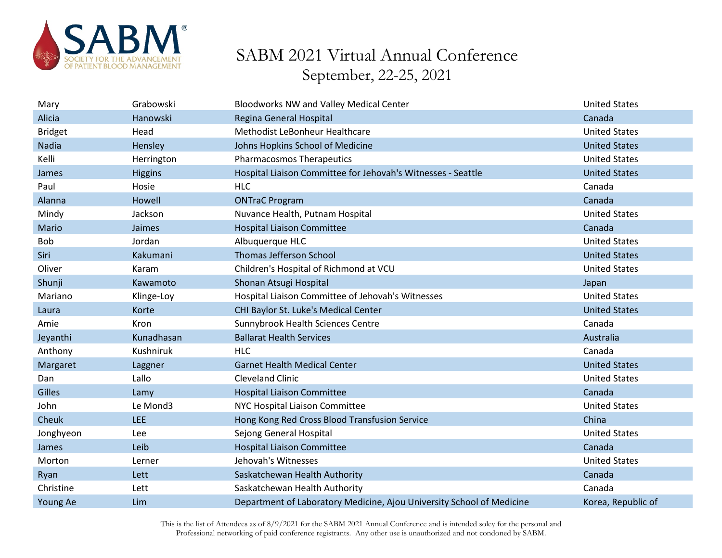

| Mary           | Grabowski      | <b>Bloodworks NW and Valley Medical Center</b>                        | <b>United States</b> |
|----------------|----------------|-----------------------------------------------------------------------|----------------------|
| Alicia         | Hanowski       | Regina General Hospital                                               | Canada               |
| <b>Bridget</b> | Head           | Methodist LeBonheur Healthcare                                        | <b>United States</b> |
| Nadia          | Hensley        | Johns Hopkins School of Medicine                                      | <b>United States</b> |
| Kelli          | Herrington     | <b>Pharmacosmos Therapeutics</b>                                      | <b>United States</b> |
| James          | <b>Higgins</b> | Hospital Liaison Committee for Jehovah's Witnesses - Seattle          | <b>United States</b> |
| Paul           | Hosie          | <b>HLC</b>                                                            | Canada               |
| Alanna         | Howell         | <b>ONTraC Program</b>                                                 | Canada               |
| Mindy          | Jackson        | Nuvance Health, Putnam Hospital                                       | <b>United States</b> |
| Mario          | Jaimes         | <b>Hospital Liaison Committee</b>                                     | Canada               |
| <b>Bob</b>     | Jordan         | Albuquerque HLC                                                       | <b>United States</b> |
| Siri           | Kakumani       | <b>Thomas Jefferson School</b>                                        | <b>United States</b> |
| Oliver         | Karam          | Children's Hospital of Richmond at VCU                                | <b>United States</b> |
| Shunji         | Kawamoto       | Shonan Atsugi Hospital                                                | Japan                |
| Mariano        | Klinge-Loy     | Hospital Liaison Committee of Jehovah's Witnesses                     | <b>United States</b> |
| Laura          | Korte          | CHI Baylor St. Luke's Medical Center                                  | <b>United States</b> |
| Amie           | <b>Kron</b>    | Sunnybrook Health Sciences Centre                                     | Canada               |
| Jeyanthi       | Kunadhasan     | <b>Ballarat Health Services</b>                                       | Australia            |
| Anthony        | Kushniruk      | <b>HLC</b>                                                            | Canada               |
| Margaret       | Laggner        | <b>Garnet Health Medical Center</b>                                   | <b>United States</b> |
| Dan            | Lallo          | <b>Cleveland Clinic</b>                                               | <b>United States</b> |
| Gilles         | Lamy           | <b>Hospital Liaison Committee</b>                                     | Canada               |
| John           | Le Mond3       | NYC Hospital Liaison Committee                                        | <b>United States</b> |
| Cheuk          | <b>LEE</b>     | Hong Kong Red Cross Blood Transfusion Service                         | China                |
| Jonghyeon      | Lee            | Sejong General Hospital                                               | <b>United States</b> |
| James          | Leib           | <b>Hospital Liaison Committee</b>                                     | Canada               |
| Morton         | Lerner         | Jehovah's Witnesses                                                   | <b>United States</b> |
| Ryan           | Lett           | Saskatchewan Health Authority                                         | Canada               |
| Christine      | Lett           | Saskatchewan Health Authority                                         | Canada               |
| Young Ae       | Lim            | Department of Laboratory Medicine, Ajou University School of Medicine | Korea, Republic of   |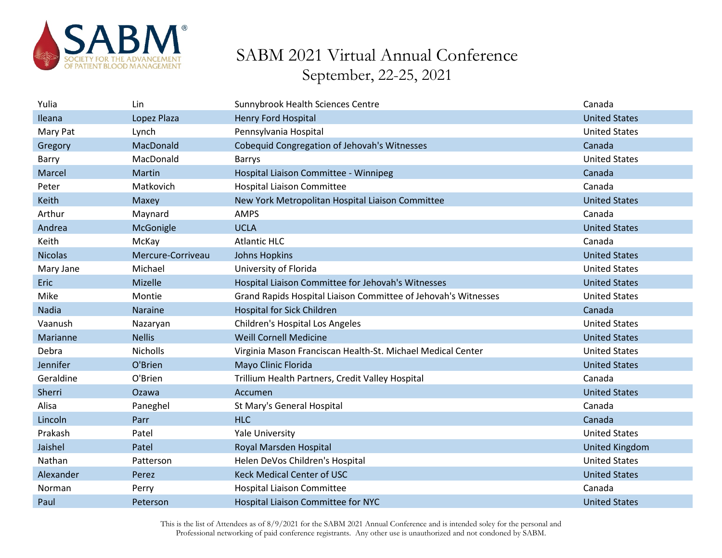

| Yulia          | Lin               | Sunnybrook Health Sciences Centre                              | Canada                |
|----------------|-------------------|----------------------------------------------------------------|-----------------------|
| Ileana         | Lopez Plaza       | <b>Henry Ford Hospital</b>                                     | <b>United States</b>  |
| Mary Pat       | Lynch             | Pennsylvania Hospital                                          | <b>United States</b>  |
| Gregory        | MacDonald         | Cobequid Congregation of Jehovah's Witnesses                   | Canada                |
| Barry          | MacDonald         | <b>Barrys</b>                                                  | <b>United States</b>  |
| Marcel         | Martin            | Hospital Liaison Committee - Winnipeg                          | Canada                |
| Peter          | Matkovich         | <b>Hospital Liaison Committee</b>                              | Canada                |
| Keith          | Maxey             | New York Metropolitan Hospital Liaison Committee               | <b>United States</b>  |
| Arthur         | Maynard           | <b>AMPS</b>                                                    | Canada                |
| Andrea         | McGonigle         | <b>UCLA</b>                                                    | <b>United States</b>  |
| Keith          | McKay             | <b>Atlantic HLC</b>                                            | Canada                |
| <b>Nicolas</b> | Mercure-Corriveau | <b>Johns Hopkins</b>                                           | <b>United States</b>  |
| Mary Jane      | Michael           | University of Florida                                          | <b>United States</b>  |
| <b>Eric</b>    | Mizelle           | Hospital Liaison Committee for Jehovah's Witnesses             | <b>United States</b>  |
| Mike           | Montie            | Grand Rapids Hospital Liaison Committee of Jehovah's Witnesses | <b>United States</b>  |
| Nadia          | <b>Naraine</b>    | <b>Hospital for Sick Children</b>                              | Canada                |
| Vaanush        | Nazaryan          | <b>Children's Hospital Los Angeles</b>                         | <b>United States</b>  |
| Marianne       | <b>Nellis</b>     | <b>Weill Cornell Medicine</b>                                  | <b>United States</b>  |
| Debra          | <b>Nicholls</b>   | Virginia Mason Franciscan Health-St. Michael Medical Center    | <b>United States</b>  |
| Jennifer       | O'Brien           | Mayo Clinic Florida                                            | <b>United States</b>  |
| Geraldine      | O'Brien           | Trillium Health Partners, Credit Valley Hospital               | Canada                |
| Sherri         | Ozawa             | Accumen                                                        | <b>United States</b>  |
| Alisa          | Paneghel          | St Mary's General Hospital                                     | Canada                |
| Lincoln        | Parr              | <b>HLC</b>                                                     | Canada                |
| Prakash        | Patel             | <b>Yale University</b>                                         | <b>United States</b>  |
| Jaishel        | Patel             | Royal Marsden Hospital                                         | <b>United Kingdom</b> |
| Nathan         | Patterson         | Helen DeVos Children's Hospital                                | <b>United States</b>  |
| Alexander      | Perez             | <b>Keck Medical Center of USC</b>                              | <b>United States</b>  |
| Norman         | Perry             | <b>Hospital Liaison Committee</b>                              | Canada                |
| Paul           | Peterson          | Hospital Liaison Committee for NYC                             | <b>United States</b>  |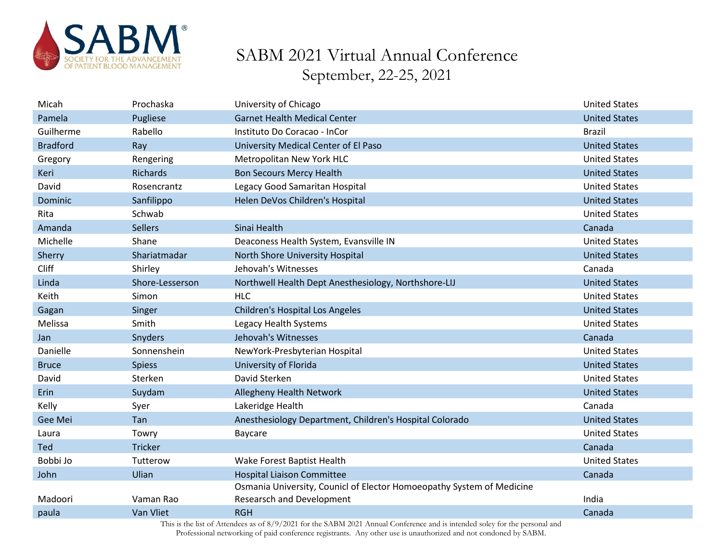

| Micah           | Prochaska       | University of Chicago                                                                                                                     | <b>United States</b> |
|-----------------|-----------------|-------------------------------------------------------------------------------------------------------------------------------------------|----------------------|
| Pamela          | Pugliese        | <b>Garnet Health Medical Center</b>                                                                                                       | <b>United States</b> |
| Guilherme       | Rabello         | Instituto Do Coracao - InCor                                                                                                              | <b>Brazil</b>        |
| <b>Bradford</b> | Ray             | University Medical Center of El Paso                                                                                                      | <b>United States</b> |
| Gregory         | Rengering       | Metropolitan New York HLC                                                                                                                 | <b>United States</b> |
| Keri            | <b>Richards</b> | <b>Bon Secours Mercy Health</b>                                                                                                           | <b>United States</b> |
| David           | Rosencrantz     | Legacy Good Samaritan Hospital                                                                                                            | <b>United States</b> |
| Dominic         | Sanfilippo      | Helen DeVos Children's Hospital                                                                                                           | <b>United States</b> |
| Rita            | Schwab          |                                                                                                                                           | <b>United States</b> |
| Amanda          | <b>Sellers</b>  | Sinai Health                                                                                                                              | Canada               |
| Michelle        | Shane           | Deaconess Health System, Evansville IN                                                                                                    | <b>United States</b> |
| Sherry          | Shariatmadar    | North Shore University Hospital                                                                                                           | <b>United States</b> |
| Cliff           | Shirley         | Jehovah's Witnesses                                                                                                                       | Canada               |
| Linda           | Shore-Lesserson | Northwell Health Dept Anesthesiology, Northshore-LIJ                                                                                      | <b>United States</b> |
| Keith           | Simon           | <b>HLC</b>                                                                                                                                | <b>United States</b> |
| Gagan           | Singer          | Children's Hospital Los Angeles                                                                                                           | <b>United States</b> |
| Melissa         | Smith           | Legacy Health Systems                                                                                                                     | <b>United States</b> |
| Jan             | Snyders         | Jehovah's Witnesses                                                                                                                       | Canada               |
| Danielle        | Sonnenshein     | NewYork-Presbyterian Hospital                                                                                                             | <b>United States</b> |
| <b>Bruce</b>    | <b>Spiess</b>   | University of Florida                                                                                                                     | <b>United States</b> |
| David           | Sterken         | David Sterken                                                                                                                             | <b>United States</b> |
| Erin            | Suydam          | Allegheny Health Network                                                                                                                  | <b>United States</b> |
| Kelly           | Syer            | Lakeridge Health                                                                                                                          | Canada               |
| Gee Mei         | Tan             | Anesthesiology Department, Children's Hospital Colorado                                                                                   | <b>United States</b> |
| Laura           | Towry           | Baycare                                                                                                                                   | <b>United States</b> |
| Ted             | <b>Tricker</b>  |                                                                                                                                           | Canada               |
| Bobbi Jo        | Tutterow        | Wake Forest Baptist Health                                                                                                                | <b>United States</b> |
| John            | Ulian           | <b>Hospital Liaison Committee</b>                                                                                                         | Canada               |
|                 |                 | Osmania University, Counicl of Elector Homoeopathy System of Medicine                                                                     |                      |
| Madoori         | Vaman Rao       | <b>Researsch and Development</b>                                                                                                          | India                |
| paula           | Van Vliet       | <b>RGH</b><br>This is the list of Attendees as of 8/0/2021 for the SARM 2021 Appual Conference and is intended solar for the personal and | Canada               |
|                 |                 |                                                                                                                                           |                      |